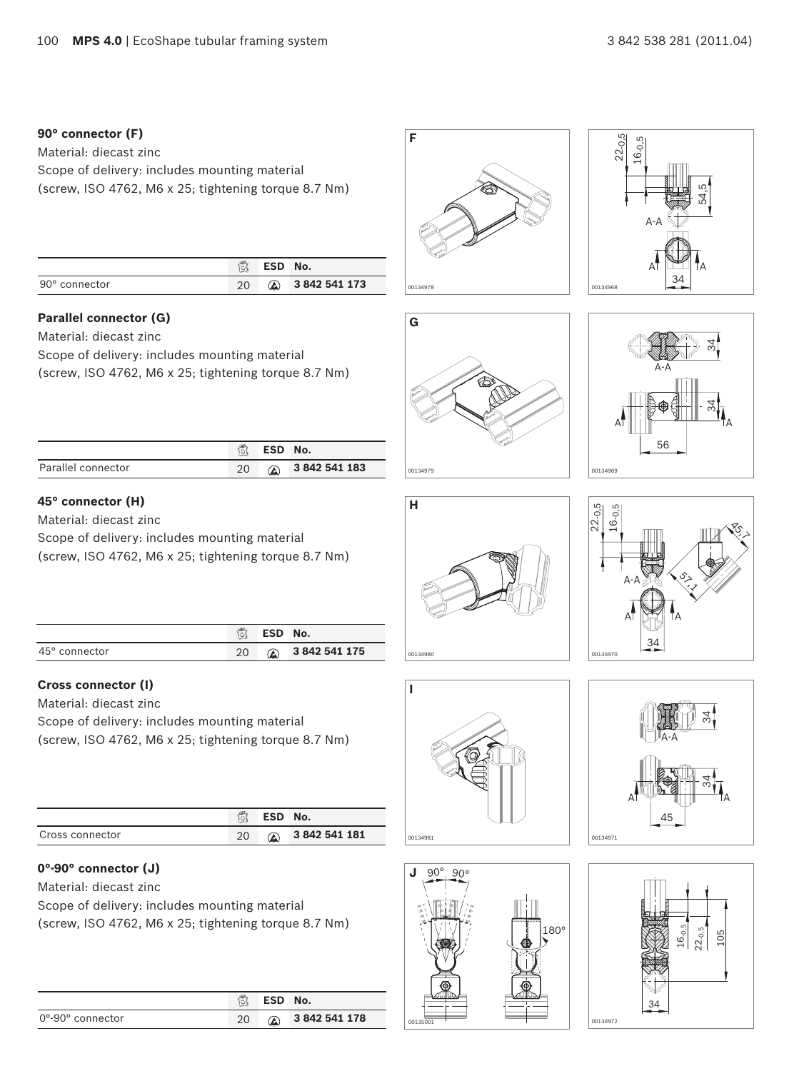#### **90° connector (F)**

Material: diecast zinc Scope of delivery: includes mounting material (screw, ISO 4762, M6 x 25; tightening torque 8.7 Nm)

|               | 意  | ESD No. |                       |
|---------------|----|---------|-----------------------|
| 90° connector | 20 |         | <b>A</b> 3842 541 173 |

#### **Parallel connector (G)**

Material: diecast zinc

Scope of delivery: includes mounting material

(screw, ISO 4762, M6 x 25; tightening torque 8.7 Nm)

|                    | 微 | <b>ESD</b> | No.        |
|--------------------|---|------------|------------|
| Parallel connector |   |            | 3842541183 |

## **45° connector (H)**

Material: diecast zinc

Scope of delivery: includes mounting material

(screw, ISO 4762, M6 x 25; tightening torque 8.7 Nm)

|                        | 笝  | ESD No. |                 |
|------------------------|----|---------|-----------------|
| $45^{\circ}$ connector | 20 |         | 2 3 842 541 175 |

#### **Cross connector (I)**

Material: diecast zinc

Scope of delivery: includes mounting material (screw, ISO 4762, M6 x 25; tightening torque 8.7 Nm)

|                 | Ů  | ESD No.    |               |
|-----------------|----|------------|---------------|
| Cross connector | 20 | $\bigcirc$ | 3 842 541 181 |

#### **0°-90° connector (J)**

Material: diecast zinc

Scope of delivery: includes mounting material

(screw, ISO 4762, M6 x 25; tightening torque 8.7 Nm)

|                                      | $ \vec{v} $ | ESD No.       |               |
|--------------------------------------|-------------|---------------|---------------|
| $0^{\circ}$ -90 $^{\circ}$ connector | 20          | $\circledast$ | 3 842 541 178 |



















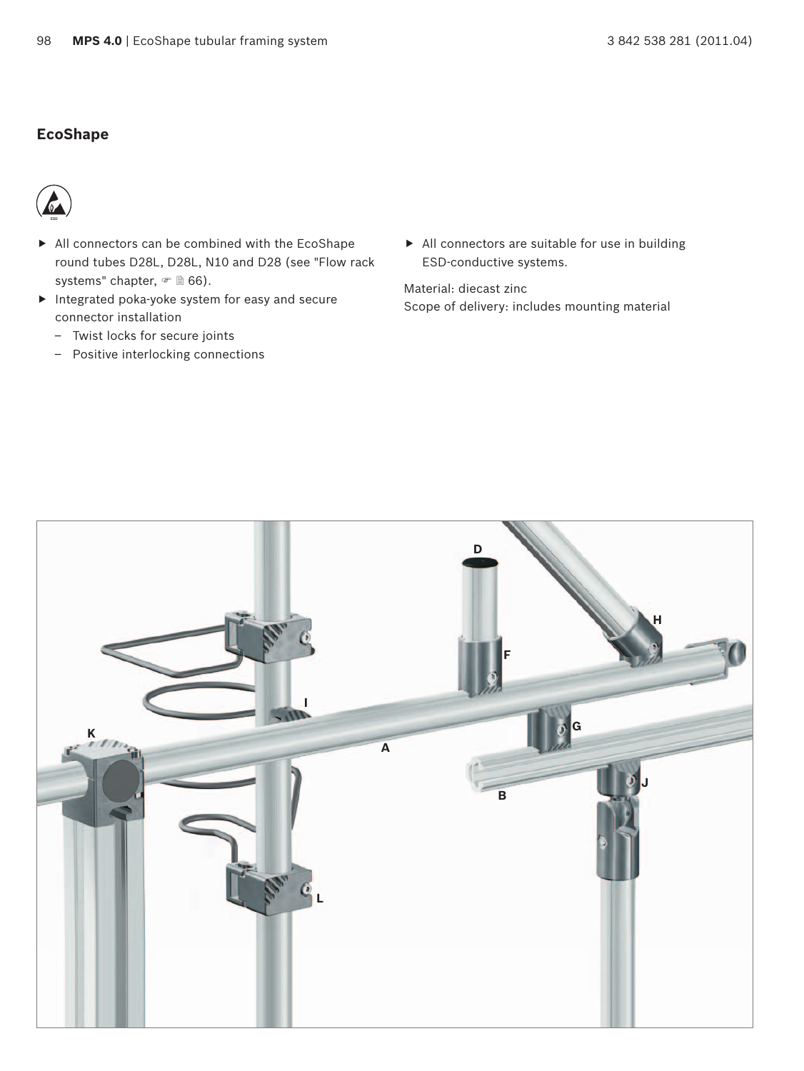## **EcoShape**



- $\blacktriangleright$  All connectors can be combined with the EcoShape round tubes D28L, D28L, N10 and D28 (see "Flow rack systems" chapter,  $\in$  166).
- $\blacktriangleright$  Integrated poka-yoke system for easy and secure connector installation
	- Twist locks for secure joints
	- Positive interlocking connections

 $\blacktriangleright$  All connectors are suitable for use in building ESD-conductive systems.

Material: diecast zinc Scope of delivery: includes mounting material